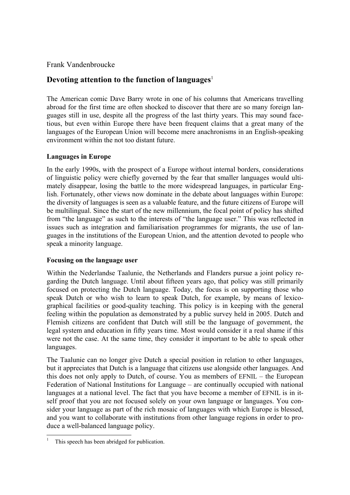Frank Vandenbroucke

# **Devoting attention to the function of languages**

The American comic Dave Barry wrote in one of his columns that Americans travelling abroad for the first time are often shocked to discover that there are so many foreign languages still in use, despite all the progress of the last thirty years. This may sound facetious, but even within Europe there have been frequent claims that a great many of the languages of the European Union will become mere anachronisms in an English-speaking environment within the not too distant future.

## **Languages in Europe**

In the early 1990s, with the prospect of a Europe without internal borders, considerations of linguistic policy were chiefly governed by the fear that smaller languages would ultimately disappear, losing the battle to the more widespread languages, in particular English. Fortunately, other views now dominate in the debate about languages within Europe: the diversity of languages is seen as a valuable feature, and the future citizens of Europe will be multilingual. Since the start of the new millennium, the focal point of policy has shifted from "the language" as such to the interests of "the language user." This was reflected in issues such as integration and familiarisation programmes for migrants, the use of languages in the institutions of the European Union, and the attention devoted to people who speak a minority language.

### **Focusing on the language user**

Within the Nederlandse Taalunie, the Netherlands and Flanders pursue a joint policy regarding the Dutch language. Until about fifteen years ago, that policy was still primarily focused on protecting the Dutch language. Today, the focus is on supporting those who speak Dutch or who wish to learn to speak Dutch, for example, by means of lexicographical facilities or good-quality teaching. This policy is in keeping with the general feeling within the population as demonstrated by a public survey held in 2005. Dutch and Flemish citizens are confident that Dutch will still be the language of government, the legal system and education in fifty years time. Most would consider it a real shame if this were not the case. At the same time, they consider it important to be able to speak other languages.

The Taalunie can no longer give Dutch a special position in relation to other languages, but it appreciates that Dutch is a language that citizens use alongside other languages. And this does not only apply to Dutch, of course. You as members of EFNIL – the European Federation of National Institutions for Language – are continually occupied with national languages at a national level. The fact that you have become a member of EFNIL is in itself proof that you are not focused solely on your own language or languages. You consider your language as part of the rich mosaic of languages with which Europe is blessed, and you want to collaborate with institutions from other language regions in order to produce a well-balanced language policy.

l

<sup>1</sup> This speech has been abridged for publication.